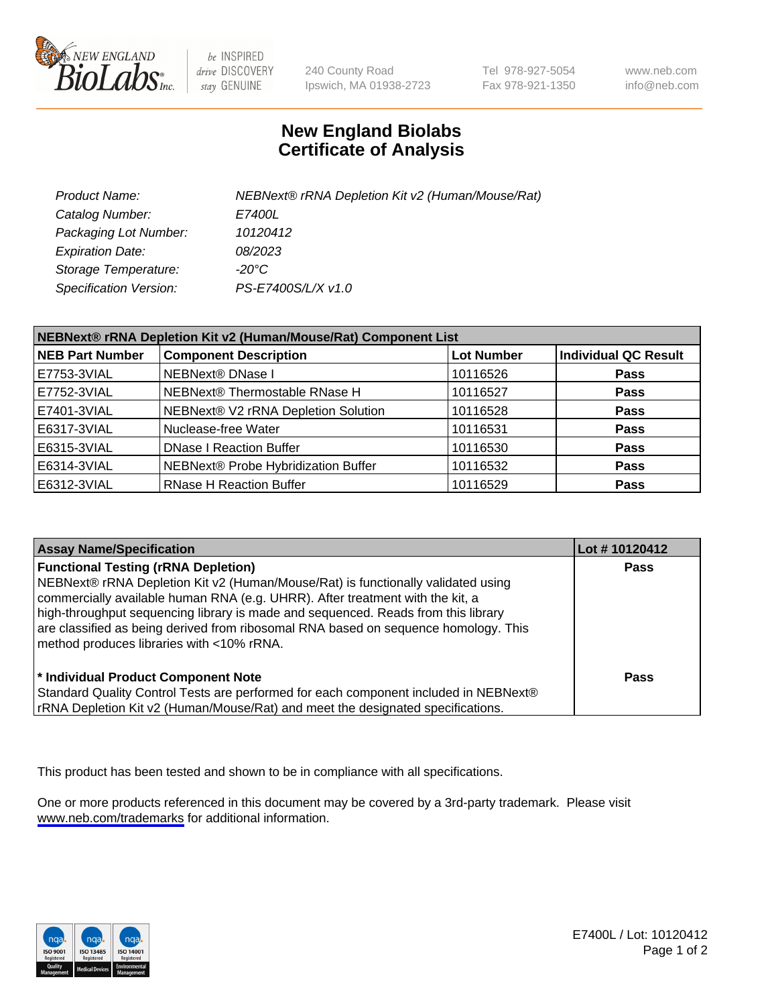

be INSPIRED drive DISCOVERY stay GENUINE

240 County Road Ipswich, MA 01938-2723 Tel 978-927-5054 Fax 978-921-1350

www.neb.com info@neb.com

## **New England Biolabs Certificate of Analysis**

| Product Name:                 | NEBNext® rRNA Depletion Kit v2 (Human/Mouse/Rat) |
|-------------------------------|--------------------------------------------------|
| Catalog Number:               | <i>E7400L</i>                                    |
| Packaging Lot Number:         | 10120412                                         |
| <b>Expiration Date:</b>       | 08/2023                                          |
| Storage Temperature:          | -20°C                                            |
| <b>Specification Version:</b> | PS-E7400S/L/X v1.0                               |

| NEBNext® rRNA Depletion Kit v2 (Human/Mouse/Rat) Component List |                                     |                   |                             |  |
|-----------------------------------------------------------------|-------------------------------------|-------------------|-----------------------------|--|
| <b>NEB Part Number</b>                                          | <b>Component Description</b>        | <b>Lot Number</b> | <b>Individual QC Result</b> |  |
| E7753-3VIAL                                                     | NEBNext® DNase I                    | 10116526          | <b>Pass</b>                 |  |
| E7752-3VIAL                                                     | NEBNext® Thermostable RNase H       | 10116527          | <b>Pass</b>                 |  |
| E7401-3VIAL                                                     | NEBNext® V2 rRNA Depletion Solution | 10116528          | <b>Pass</b>                 |  |
| E6317-3VIAL                                                     | Nuclease-free Water                 | 10116531          | <b>Pass</b>                 |  |
| E6315-3VIAL                                                     | <b>DNase I Reaction Buffer</b>      | 10116530          | <b>Pass</b>                 |  |
| E6314-3VIAL                                                     | NEBNext® Probe Hybridization Buffer | 10116532          | <b>Pass</b>                 |  |
| E6312-3VIAL                                                     | <b>RNase H Reaction Buffer</b>      | 10116529          | <b>Pass</b>                 |  |

| <b>Assay Name/Specification</b>                                                                                                                                                                                                                                                                                                                                                                                                          | Lot #10120412 |
|------------------------------------------------------------------------------------------------------------------------------------------------------------------------------------------------------------------------------------------------------------------------------------------------------------------------------------------------------------------------------------------------------------------------------------------|---------------|
| <b>Functional Testing (rRNA Depletion)</b><br>NEBNext® rRNA Depletion Kit v2 (Human/Mouse/Rat) is functionally validated using<br>commercially available human RNA (e.g. UHRR). After treatment with the kit, a<br>high-throughput sequencing library is made and sequenced. Reads from this library<br>are classified as being derived from ribosomal RNA based on sequence homology. This<br>method produces libraries with <10% rRNA. | <b>Pass</b>   |
| * Individual Product Component Note<br>Standard Quality Control Tests are performed for each component included in NEBNext®<br>rRNA Depletion Kit v2 (Human/Mouse/Rat) and meet the designated specifications.                                                                                                                                                                                                                           | Pass          |

This product has been tested and shown to be in compliance with all specifications.

One or more products referenced in this document may be covered by a 3rd-party trademark. Please visit <www.neb.com/trademarks>for additional information.